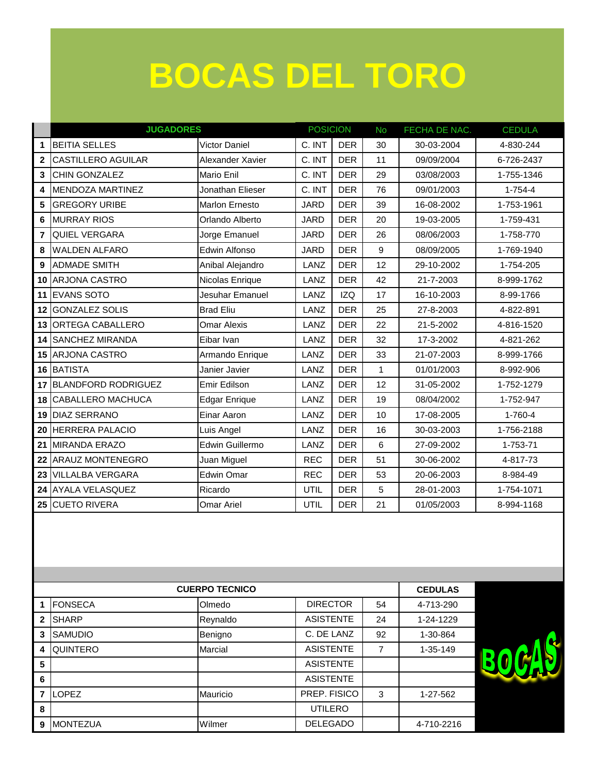### **BOCAS DEL TORO**

|                | <b>JUGADORES</b>           |                      | <b>POSICION</b> |            | <b>No</b> | FECHA DE NAC. | <b>CEDULA</b> |
|----------------|----------------------------|----------------------|-----------------|------------|-----------|---------------|---------------|
| 1              | <b>BEITIA SELLES</b>       | <b>Victor Daniel</b> | C. INT          | <b>DER</b> | 30        | 30-03-2004    | 4-830-244     |
| $\mathbf 2$    | <b>CASTILLERO AGUILAR</b>  | Alexander Xavier     | C. INT          | <b>DER</b> | 11        | 09/09/2004    | 6-726-2437    |
| 3              | CHIN GONZALEZ              | Mario Enil           | C. INT          | <b>DER</b> | 29        | 03/08/2003    | 1-755-1346    |
| 4              | MENDOZA MARTINEZ           | Jonathan Elieser     | C. INT          | <b>DER</b> | 76        | 09/01/2003    | $1 - 754 - 4$ |
| 5              | <b>GREGORY URIBE</b>       | Marlon Ernesto       | <b>JARD</b>     | <b>DER</b> | 39        | 16-08-2002    | 1-753-1961    |
| 6              | <b>MURRAY RIOS</b>         | Orlando Alberto      | <b>JARD</b>     | <b>DER</b> | 20        | 19-03-2005    | 1-759-431     |
| $\overline{7}$ | QUIEL VERGARA              | Jorge Emanuel        | <b>JARD</b>     | <b>DER</b> | 26        | 08/06/2003    | 1-758-770     |
| 8              | <b>WALDEN ALFARO</b>       | Edwin Alfonso        | <b>JARD</b>     | <b>DER</b> | 9         | 08/09/2005    | 1-769-1940    |
| 9              | <b>ADMADE SMITH</b>        | Anibal Alejandro     | LANZ            | <b>DER</b> | 12        | 29-10-2002    | 1-754-205     |
| 10             | <b>ARJONA CASTRO</b>       | Nicolas Enrique      | LANZ            | <b>DER</b> | 42        | 21-7-2003     | 8-999-1762    |
| 11             | <b>EVANS SOTO</b>          | Jesuhar Emanuel      | LANZ            | <b>IZQ</b> | 17        | 16-10-2003    | 8-99-1766     |
| 12             | <b>GONZALEZ SOLIS</b>      | <b>Brad Eliu</b>     | LANZ            | <b>DER</b> | 25        | 27-8-2003     | 4-822-891     |
| 13             | ORTEGA CABALLERO           | <b>Omar Alexis</b>   | LANZ            | <b>DER</b> | 22        | 21-5-2002     | 4-816-1520    |
| 14             | <b>SANCHEZ MIRANDA</b>     | Eibar Ivan           | LANZ            | <b>DER</b> | 32        | 17-3-2002     | 4-821-262     |
| 15             | <b>ARJONA CASTRO</b>       | Armando Enrique      | LANZ            | <b>DER</b> | 33        | 21-07-2003    | 8-999-1766    |
| 16             | <b>BATISTA</b>             | Janier Javier        | LANZ            | <b>DER</b> | 1         | 01/01/2003    | 8-992-906     |
| 17             | <b>BLANDFORD RODRIGUEZ</b> | Emir Edilson         | LANZ            | <b>DER</b> | 12        | 31-05-2002    | 1-752-1279    |
| 18             | <b>CABALLERO MACHUCA</b>   | <b>Edgar Enrique</b> | LANZ            | <b>DER</b> | 19        | 08/04/2002    | 1-752-947     |
| 19             | <b>DIAZ SERRANO</b>        | Einar Aaron          | LANZ            | <b>DER</b> | 10        | 17-08-2005    | 1-760-4       |
| 20             | <b>HERRERA PALACIO</b>     | Luis Angel           | LANZ            | <b>DER</b> | 16        | 30-03-2003    | 1-756-2188    |
| 21             | <b>MIRANDA ERAZO</b>       | Edwin Guillermo      | LANZ            | <b>DER</b> | 6         | 27-09-2002    | 1-753-71      |
| 22             | <b>ARAUZ MONTENEGRO</b>    | Juan Miguel          | <b>REC</b>      | <b>DER</b> | 51        | 30-06-2002    | 4-817-73      |
| 23             | VILLALBA VERGARA           | Edwin Omar           | <b>REC</b>      | <b>DER</b> | 53        | 20-06-2003    | 8-984-49      |
| 24             | <b>AYALA VELASQUEZ</b>     | Ricardo              | <b>UTIL</b>     | <b>DER</b> | 5         | 28-01-2003    | 1-754-1071    |
| 25             | <b>CUETO RIVERA</b>        | <b>Omar Ariel</b>    | <b>UTIL</b>     | <b>DER</b> | 21        | 01/05/2003    | 8-994-1168    |

|                | <b>CUERPO TECNICO</b> | <b>CEDULAS</b> |                  |    |            |  |
|----------------|-----------------------|----------------|------------------|----|------------|--|
|                | <b>FONSECA</b>        | Olmedo         | <b>DIRECTOR</b>  | 54 | 4-713-290  |  |
| $\overline{2}$ | <b>SHARP</b>          | Reynaldo       | <b>ASISTENTE</b> | 24 | 1-24-1229  |  |
| 3              | <b>SAMUDIO</b>        | Benigno        | C. DE LANZ       | 92 | 1-30-864   |  |
| 4              | <b>QUINTERO</b>       | Marcial        | <b>ASISTENTE</b> | 7  | 1-35-149   |  |
| 5              |                       |                | <b>ASISTENTE</b> |    |            |  |
| 6              |                       |                | <b>ASISTENTE</b> |    |            |  |
|                | <b>ILOPEZ</b>         | Mauricio       | PREP. FISICO     | 3  | 1-27-562   |  |
| 8              |                       |                | <b>UTILERO</b>   |    |            |  |
| 9              | <b>MONTEZUA</b>       | Wilmer         | <b>DELEGADO</b>  |    | 4-710-2216 |  |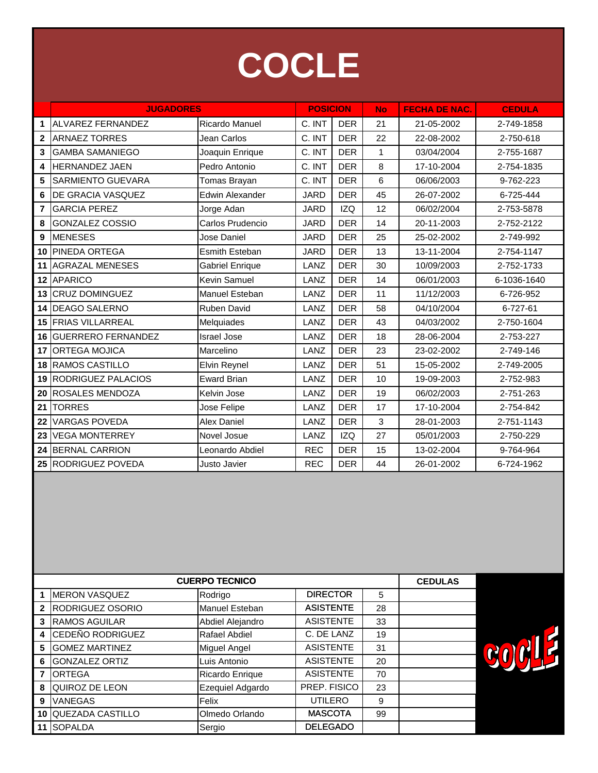

|                 | <b>JUGADORES</b>           |                        | <b>POSICION</b> |            | <b>No</b>    | <b>FECHA DE NAC.</b> | <b>CEDULA</b> |
|-----------------|----------------------------|------------------------|-----------------|------------|--------------|----------------------|---------------|
| 1               | ALVAREZ FERNANDEZ          | Ricardo Manuel         | C. INT          | <b>DER</b> | 21           | 21-05-2002           | 2-749-1858    |
| $\mathbf{2}$    | <b>ARNAEZ TORRES</b>       | Jean Carlos            | C. INT          | <b>DER</b> | 22           | 22-08-2002           | 2-750-618     |
| 3               | <b>GAMBA SAMANIEGO</b>     | Joaquin Enrique        | C. INT          | <b>DER</b> | $\mathbf{1}$ | 03/04/2004           | 2-755-1687    |
| 4               | <b>HERNANDEZ JAEN</b>      | Pedro Antonio          | C. INT          | <b>DER</b> | 8            | 17-10-2004           | 2-754-1835    |
| 5               | SARMIENTO GUEVARA          | Tomas Brayan           | C. INT          | <b>DER</b> | 6            | 06/06/2003           | 9-762-223     |
| 6               | DE GRACIA VASQUEZ          | <b>Edwin Alexander</b> | <b>JARD</b>     | <b>DER</b> | 45           | 26-07-2002           | 6-725-444     |
| 7               | <b>GARCIA PEREZ</b>        | Jorge Adan             | <b>JARD</b>     | <b>IZQ</b> | 12           | 06/02/2004           | 2-753-5878    |
| 8               | <b>GONZALEZ COSSIO</b>     | Carlos Prudencio       | <b>JARD</b>     | <b>DER</b> | 14           | 20-11-2003           | 2-752-2122    |
| 9               | <b>MENESES</b>             | Jose Daniel            | <b>JARD</b>     | <b>DER</b> | 25           | 25-02-2002           | 2-749-992     |
| 10              | <b>PINEDA ORTEGA</b>       | Esmith Esteban         | <b>JARD</b>     | <b>DER</b> | 13           | 13-11-2004           | 2-754-1147    |
| 11              | <b>AGRAZAL MENESES</b>     | <b>Gabriel Enrique</b> | LANZ            | <b>DER</b> | 30           | 10/09/2003           | 2-752-1733    |
| 12 <sup>1</sup> | <b>APARICO</b>             | Kevin Samuel           | LANZ            | <b>DER</b> | 14           | 06/01/2003           | 6-1036-1640   |
| 13              | <b>CRUZ DOMINGUEZ</b>      | Manuel Esteban         | LANZ            | <b>DER</b> | 11           | 11/12/2003           | 6-726-952     |
| 14              | <b>DEAGO SALERNO</b>       | Ruben David            | LANZ            | <b>DER</b> | 58           | 04/10/2004           | 6-727-61      |
|                 | <b>15 FRIAS VILLARREAL</b> | Melquiades             | LANZ            | <b>DER</b> | 43           | 04/03/2002           | 2-750-1604    |
| 16              | <b>GUERRERO FERNANDEZ</b>  | <b>Israel Jose</b>     | LANZ            | <b>DER</b> | 18           | 28-06-2004           | 2-753-227     |
| 17              | <b>ORTEGA MOJICA</b>       | Marcelino              | LANZ            | <b>DER</b> | 23           | 23-02-2002           | 2-749-146     |
| 18              | RAMOS CASTILLO             | Elvin Reynel           | LANZ            | <b>DER</b> | 51           | 15-05-2002           | 2-749-2005    |
| 19              | RODRIGUEZ PALACIOS         | <b>Eward Brian</b>     | LANZ            | <b>DER</b> | 10           | 19-09-2003           | 2-752-983     |
| 20              | ROSALES MENDOZA            | Kelvin Jose            | LANZ            | <b>DER</b> | 19           | 06/02/2003           | 2-751-263     |
| 21              | <b>TORRES</b>              | Jose Felipe            | LANZ            | <b>DER</b> | 17           | 17-10-2004           | 2-754-842     |
| 22              | <b>VARGAS POVEDA</b>       | <b>Alex Daniel</b>     | LANZ            | <b>DER</b> | 3            | 28-01-2003           | 2-751-1143    |
| 23              | <b>VEGA MONTERREY</b>      | Novel Josue            | LANZ            | <b>IZQ</b> | 27           | 05/01/2003           | 2-750-229     |
| 24              | <b>BERNAL CARRION</b>      | Leonardo Abdiel        | <b>REC</b>      | <b>DER</b> | 15           | 13-02-2004           | 9-764-964     |
|                 | 25 RODRIGUEZ POVEDA        | Justo Javier           | <b>REC</b>      | <b>DER</b> | 44           | 26-01-2002           | 6-724-1962    |

|                | <b>CUERPO TECNICO</b> |                  | <b>CEDULAS</b>   |    |  |  |
|----------------|-----------------------|------------------|------------------|----|--|--|
|                | <b>MERON VASQUEZ</b>  | Rodrigo          | <b>DIRECTOR</b>  | 5  |  |  |
| $\mathbf{2}$   | RODRIGUEZ OSORIO      | Manuel Esteban   | <b>ASISTENTE</b> | 28 |  |  |
| 3              | <b>RAMOS AGUILAR</b>  | Abdiel Alejandro | <b>ASISTENTE</b> | 33 |  |  |
| 4              | CEDEÑO RODRIGUEZ      | Rafael Abdiel    | C. DE LANZ       | 19 |  |  |
| 5              | <b>GOMEZ MARTINEZ</b> | Miguel Angel     | <b>ASISTENTE</b> | 31 |  |  |
| 6              | <b>GONZALEZ ORTIZ</b> | Luis Antonio     | <b>ASISTENTE</b> | 20 |  |  |
| $\overline{7}$ | <b>ORTEGA</b>         | Ricardo Enrique  | <b>ASISTENTE</b> | 70 |  |  |
| 8              | QUIROZ DE LEON        | Ezequiel Adgardo | PREP. FISICO     | 23 |  |  |
| 9              | <b>VANEGAS</b>        | Felix            | <b>UTILERO</b>   | 9  |  |  |
| 10 I           | QUEZADA CASTILLO      | Olmedo Orlando   | <b>MASCOTA</b>   | 99 |  |  |
| 11             | <b>SOPALDA</b>        | Sergio           | <b>DELEGADO</b>  |    |  |  |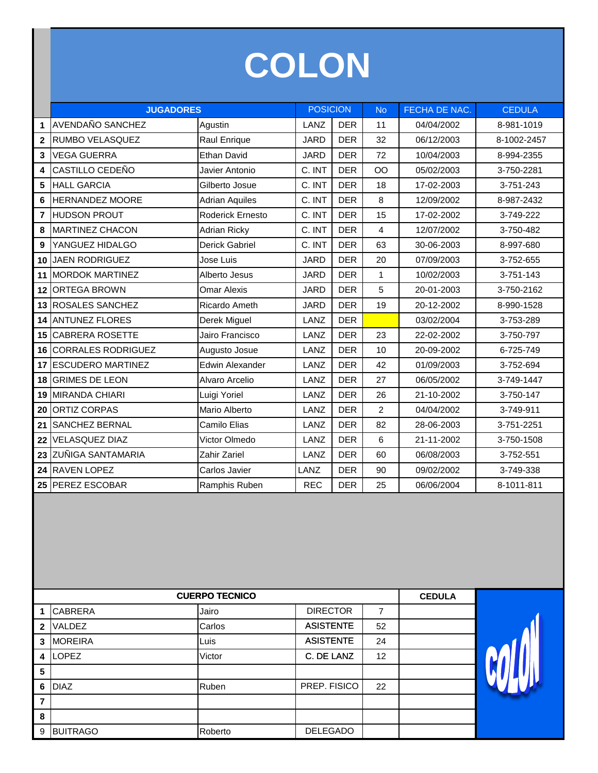# **COLON**

|                | <b>JUGADORES</b>          |                       | <b>POSICION</b> |            | <b>No</b>      | FECHA DE NAC. | <b>CEDULA</b> |
|----------------|---------------------------|-----------------------|-----------------|------------|----------------|---------------|---------------|
| 1              | <b>AVENDAÑO SANCHEZ</b>   | Agustin               | LANZ            | <b>DER</b> | 11             | 04/04/2002    | 8-981-1019    |
| $\mathbf{2}$   | RUMBO VELASQUEZ           | Raul Enrique          | <b>JARD</b>     | <b>DER</b> | 32             | 06/12/2003    | 8-1002-2457   |
| 3              | <b>VEGA GUERRA</b>        | Ethan David           | <b>JARD</b>     | <b>DER</b> | 72             | 10/04/2003    | 8-994-2355    |
| 4              | CASTILLO CEDEÑO           | Javier Antonio        | C. INT          | <b>DER</b> | OO             | 05/02/2003    | 3-750-2281    |
| 5              | <b>HALL GARCIA</b>        | Gilberto Josue        | C. INT          | <b>DER</b> | 18             | 17-02-2003    | 3-751-243     |
| 6              | <b>HERNANDEZ MOORE</b>    | <b>Adrian Aquiles</b> | C. INT          | <b>DER</b> | 8              | 12/09/2002    | 8-987-2432    |
| $\overline{7}$ | <b>HUDSON PROUT</b>       | Roderick Ernesto      | C. INT          | <b>DER</b> | 15             | 17-02-2002    | 3-749-222     |
| 8              | <b>MARTINEZ CHACON</b>    | <b>Adrian Ricky</b>   | C. INT          | <b>DER</b> | $\overline{4}$ | 12/07/2002    | 3-750-482     |
| 9              | YANGUEZ HIDALGO           | <b>Derick Gabriel</b> | C. INT          | <b>DER</b> | 63             | 30-06-2003    | 8-997-680     |
| 10             | <b>JAEN RODRIGUEZ</b>     | Jose Luis             | <b>JARD</b>     | <b>DER</b> | 20             | 07/09/2003    | 3-752-655     |
| 11             | <b>MORDOK MARTINEZ</b>    | Alberto Jesus         | <b>JARD</b>     | <b>DER</b> | $\mathbf{1}$   | 10/02/2003    | 3-751-143     |
| 12             | <b>ORTEGA BROWN</b>       | <b>Omar Alexis</b>    | <b>JARD</b>     | <b>DER</b> | 5              | 20-01-2003    | 3-750-2162    |
| 13             | <b>ROSALES SANCHEZ</b>    | Ricardo Ameth         | <b>JARD</b>     | <b>DER</b> | 19             | 20-12-2002    | 8-990-1528    |
| 14             | <b>ANTUNEZ FLORES</b>     | Derek Miguel          | LANZ            | <b>DER</b> |                | 03/02/2004    | 3-753-289     |
| 15             | CABRERA ROSETTE           | Jairo Francisco       | LANZ            | <b>DER</b> | 23             | 22-02-2002    | 3-750-797     |
| 16             | <b>CORRALES RODRIGUEZ</b> | Augusto Josue         | LANZ            | <b>DER</b> | 10             | 20-09-2002    | 6-725-749     |
| 17             | <b>ESCUDERO MARTINEZ</b>  | Edwin Alexander       | LANZ            | <b>DER</b> | 42             | 01/09/2003    | 3-752-694     |
| 18             | <b>GRIMES DE LEON</b>     | Alvaro Arcelio        | LANZ            | <b>DER</b> | 27             | 06/05/2002    | 3-749-1447    |
| 19             | <b>MIRANDA CHIARI</b>     | Luigi Yoriel          | LANZ            | <b>DER</b> | 26             | 21-10-2002    | 3-750-147     |
| 20             | <b>ORTIZ CORPAS</b>       | Mario Alberto         | LANZ            | <b>DER</b> | $\overline{2}$ | 04/04/2002    | 3-749-911     |
| 21             | SANCHEZ BERNAL            | Camilo Elias          | LANZ            | <b>DER</b> | 82             | 28-06-2003    | 3-751-2251    |
| 22             | <b>VELASQUEZ DIAZ</b>     | Victor Olmedo         | LANZ            | <b>DER</b> | 6              | 21-11-2002    | 3-750-1508    |
| 23             | ZUÑIGA SANTAMARIA         | Zahir Zariel          | LANZ            | <b>DER</b> | 60             | 06/08/2003    | 3-752-551     |
| 24             | RAVEN LOPEZ               | Carlos Javier         | LANZ            | <b>DER</b> | 90             | 09/02/2002    | 3-749-338     |
|                | 25 PEREZ ESCOBAR          | Ramphis Ruben         | <b>REC</b>      | <b>DER</b> | 25             | 06/06/2004    | 8-1011-811    |

|                         | <b>CUERPO TECNICO</b> |         | <b>CEDULA</b>    |                |  |  |
|-------------------------|-----------------------|---------|------------------|----------------|--|--|
| 1                       | <b>CABRERA</b>        | Jairo   | <b>DIRECTOR</b>  | $\overline{7}$ |  |  |
| $\overline{\mathbf{2}}$ | VALDEZ                | Carlos  | <b>ASISTENTE</b> | 52             |  |  |
| 3                       | <b>MOREIRA</b>        | Luis    | <b>ASISTENTE</b> | 24             |  |  |
| 4                       | <b>LOPEZ</b>          | Victor  | C. DE LANZ       | 12             |  |  |
| 5                       |                       |         |                  |                |  |  |
| 6                       | <b>DIAZ</b>           | Ruben   | PREP. FISICO     | 22             |  |  |
| 7                       |                       |         |                  |                |  |  |
| 8                       |                       |         |                  |                |  |  |
| 9                       | <b>BUITRAGO</b>       | Roberto | <b>DELEGADO</b>  |                |  |  |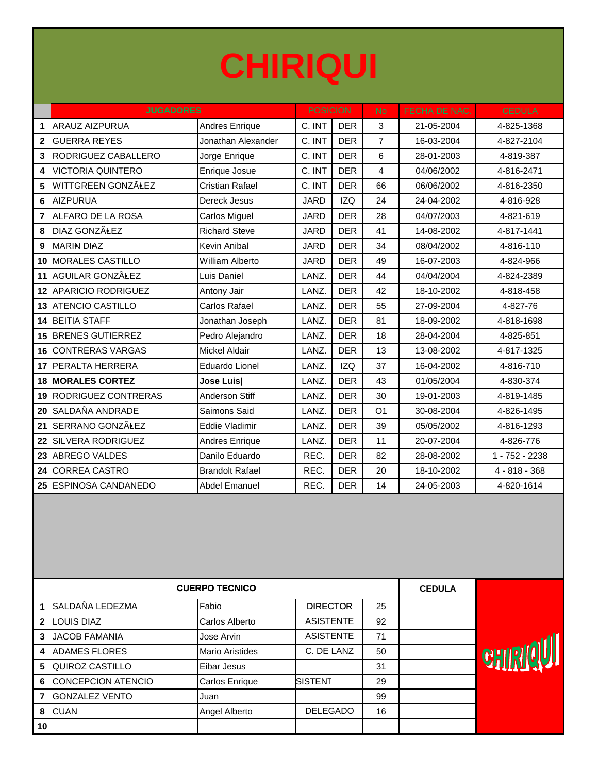## **CHIRIQUI**

|                 | <b>JUGADORES</b>           |                        | <b>POSICION</b> |            | <b>No</b>      | FECHA DE NAC. | <b>CEDULA</b>   |
|-----------------|----------------------------|------------------------|-----------------|------------|----------------|---------------|-----------------|
| 1               | <b>ARAUZ AIZPURUA</b>      | Andres Enrique         | C. INT          | <b>DER</b> | 3              | 21-05-2004    | 4-825-1368      |
| $\mathbf 2$     | <b>GUERRA REYES</b>        | Jonathan Alexander     | C. INT          | <b>DER</b> | $\overline{7}$ | 16-03-2004    | 4-827-2104      |
| 3               | RODRIGUEZ CABALLERO        | Jorge Enrique          | C. INT          | <b>DER</b> | 6              | 28-01-2003    | 4-819-387       |
| 4               | <b>VICTORIA QUINTERO</b>   | Enrique Josue          | C. INT          | <b>DER</b> | $\overline{4}$ | 04/06/2002    | 4-816-2471      |
| 5               | WITTGREEN GONZÃLEZ         | <b>Cristian Rafael</b> | C. INT          | <b>DER</b> | 66             | 06/06/2002    | 4-816-2350      |
| 6               | <b>AIZPURUA</b>            | Dereck Jesus           | <b>JARD</b>     | <b>IZQ</b> | 24             | 24-04-2002    | 4-816-928       |
| $\overline{7}$  | ALFARO DE LA ROSA          | Carlos Miguel          | <b>JARD</b>     | <b>DER</b> | 28             | 04/07/2003    | 4-821-619       |
| 8               | <b>DIAZ GONZÃŁEZ</b>       | <b>Richard Steve</b>   | <b>JARD</b>     | <b>DER</b> | 41             | 14-08-2002    | 4-817-1441      |
| 9               | <b>MARIN DIAZ</b>          | Kevin Anibal           | <b>JARD</b>     | <b>DER</b> | 34             | 08/04/2002    | 4-816-110       |
| 10              | <b>MORALES CASTILLO</b>    | William Alberto        | <b>JARD</b>     | <b>DER</b> | 49             | 16-07-2003    | 4-824-966       |
| 11              | AGUILAR GONZÃLEZ           | Luis Daniel            | LANZ.           | <b>DER</b> | 44             | 04/04/2004    | 4-824-2389      |
| 12 <sup>2</sup> | <b>APARICIO RODRIGUEZ</b>  | Antony Jair            | LANZ.           | <b>DER</b> | 42             | 18-10-2002    | 4-818-458       |
|                 | <b>13 ATENCIO CASTILLO</b> | Carlos Rafael          | LANZ.           | <b>DER</b> | 55             | 27-09-2004    | 4-827-76        |
| 14              | <b>BEITIA STAFF</b>        | Jonathan Joseph        | LANZ.           | <b>DER</b> | 81             | 18-09-2002    | 4-818-1698      |
| 15              | <b>BRENES GUTIERREZ</b>    | Pedro Alejandro        | LANZ.           | <b>DER</b> | 18             | 28-04-2004    | 4-825-851       |
| 16              | <b>CONTRERAS VARGAS</b>    | <b>Mickel Aldair</b>   | LANZ.           | <b>DER</b> | 13             | 13-08-2002    | 4-817-1325      |
| 17              | <b>PERALTA HERRERA</b>     | <b>Eduardo Lionel</b>  | LANZ.           | <b>IZQ</b> | 37             | 16-04-2002    | 4-816-710       |
|                 | <b>18 MORALES CORTEZ</b>   | Jose Luis              | LANZ.           | <b>DER</b> | 43             | 01/05/2004    | 4-830-374       |
| 19              | RODRIGUEZ CONTRERAS        | Anderson Stiff         | LANZ.           | <b>DER</b> | 30             | 19-01-2003    | 4-819-1485      |
| 20              | SALDAÑA ANDRADE            | Saimons Said           | LANZ.           | <b>DER</b> | O <sub>1</sub> | 30-08-2004    | 4-826-1495      |
| 21              | SERRANO GONZÃLEZ           | Eddie Vladimir         | LANZ.           | <b>DER</b> | 39             | 05/05/2002    | 4-816-1293      |
| 22              | <b>SILVERA RODRIGUEZ</b>   | Andres Enrique         | LANZ.           | <b>DER</b> | 11             | 20-07-2004    | 4-826-776       |
| 23              | <b>ABREGO VALDES</b>       | Danilo Eduardo         | REC.            | <b>DER</b> | 82             | 28-08-2002    | 1 - 752 - 2238  |
| 24              | <b>CORREA CASTRO</b>       | <b>Brandolt Rafael</b> | REC.            | <b>DER</b> | 20             | 18-10-2002    | $4 - 818 - 368$ |
|                 | 25 ESPINOSA CANDANEDO      | <b>Abdel Emanuel</b>   | REC.            | <b>DER</b> | 14             | 24-05-2003    | 4-820-1614      |

|    | <b>CUERPO TECNICO</b>     |                        | <b>CEDULA</b>    |    |  |  |
|----|---------------------------|------------------------|------------------|----|--|--|
|    | SALDAÑA LEDEZMA           | Fabio                  | <b>DIRECTOR</b>  | 25 |  |  |
| 2  | <b>LOUIS DIAZ</b>         | Carlos Alberto         | <b>ASISTENTE</b> | 92 |  |  |
| 3  | <b>JACOB FAMANIA</b>      | Jose Arvin             | <b>ASISTENTE</b> | 71 |  |  |
| 4  | <b>ADAMES FLORES</b>      | <b>Mario Aristides</b> | C. DE LANZ       | 50 |  |  |
| 5  | QUIROZ CASTILLO           | Eibar Jesus            |                  | 31 |  |  |
| 6  | <b>CONCEPCION ATENCIO</b> | Carlos Enrique         | <b>SISTENT</b>   | 29 |  |  |
| 7  | <b>GONZALEZ VENTO</b>     | Juan                   |                  | 99 |  |  |
| 8  | <b>CUAN</b>               | Angel Alberto          | <b>DELEGADO</b>  | 16 |  |  |
| 10 |                           |                        |                  |    |  |  |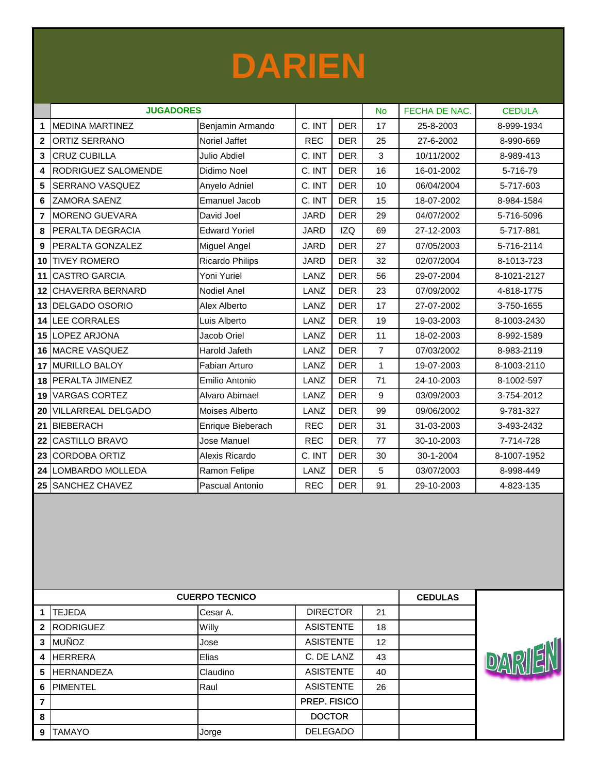

|                | <b>JUGADORES</b>       |                      |             |            | <b>No</b>      | FECHA DE NAC. | <b>CEDULA</b> |
|----------------|------------------------|----------------------|-------------|------------|----------------|---------------|---------------|
| 1              | <b>MEDINA MARTINEZ</b> | Benjamin Armando     | C. INT      | <b>DER</b> | 17             | 25-8-2003     | 8-999-1934    |
| $\overline{2}$ | <b>ORTIZ SERRANO</b>   | Noriel Jaffet        | <b>REC</b>  | <b>DER</b> | 25             | 27-6-2002     | 8-990-669     |
| 3              | <b>CRUZ CUBILLA</b>    | <b>Julio Abdiel</b>  | C. INT      | <b>DER</b> | 3              | 10/11/2002    | 8-989-413     |
| 4              | RODRIGUEZ SALOMENDE    | Didimo Noel          | C. INT      | <b>DER</b> | 16             | 16-01-2002    | 5-716-79      |
| 5              | SERRANO VASQUEZ        | Anyelo Adniel        | C. INT      | <b>DER</b> | 10             | 06/04/2004    | 5-717-603     |
| 6              | ZAMORA SAENZ           | <b>Emanuel Jacob</b> | C. INT      | <b>DER</b> | 15             | 18-07-2002    | 8-984-1584    |
| 7              | <b>MORENO GUEVARA</b>  | David Joel           | <b>JARD</b> | <b>DER</b> | 29             | 04/07/2002    | 5-716-5096    |
| 8              | PERALTA DEGRACIA       | <b>Edward Yoriel</b> | <b>JARD</b> | <b>IZQ</b> | 69             | 27-12-2003    | 5-717-881     |
| 9              | PERALTA GONZALEZ       | Miguel Angel         | <b>JARD</b> | <b>DER</b> | 27             | 07/05/2003    | 5-716-2114    |
| 10             | <b>TIVEY ROMERO</b>    | Ricardo Philips      | <b>JARD</b> | <b>DER</b> | 32             | 02/07/2004    | 8-1013-723    |
| 11             | <b>CASTRO GARCIA</b>   | Yoni Yuriel          | LANZ        | <b>DER</b> | 56             | 29-07-2004    | 8-1021-2127   |
| 12             | CHAVERRA BERNARD       | Nodiel Anel          | LANZ        | <b>DER</b> | 23             | 07/09/2002    | 4-818-1775    |
| 13             | <b>DELGADO OSORIO</b>  | Alex Alberto         | LANZ        | <b>DER</b> | 17             | 27-07-2002    | 3-750-1655    |
| 14             | LEE CORRALES           | Luis Alberto         | LANZ        | <b>DER</b> | 19             | 19-03-2003    | 8-1003-2430   |
| 15             | LOPEZ ARJONA           | Jacob Oriel          | LANZ        | <b>DER</b> | 11             | 18-02-2003    | 8-992-1589    |
|                | 16 MACRE VASQUEZ       | Harold Jafeth        | LANZ        | <b>DER</b> | $\overline{7}$ | 07/03/2002    | 8-983-2119    |
| 17             | <b>MURILLO BALOY</b>   | Fabian Arturo        | LANZ        | <b>DER</b> | $\mathbf{1}$   | 19-07-2003    | 8-1003-2110   |
| 18             | <b>PERALTA JIMENEZ</b> | Emilio Antonio       | LANZ        | <b>DER</b> | 71             | 24-10-2003    | 8-1002-597    |
| 19             | <b>VARGAS CORTEZ</b>   | Alvaro Abimael       | LANZ        | <b>DER</b> | 9              | 03/09/2003    | 3-754-2012    |
| 20             | VILLARREAL DELGADO     | Moises Alberto       | LANZ        | <b>DER</b> | 99             | 09/06/2002    | 9-781-327     |
| 21             | <b>BIEBERACH</b>       | Enrique Bieberach    | <b>REC</b>  | <b>DER</b> | 31             | 31-03-2003    | 3-493-2432    |
| 22             | CASTILLO BRAVO         | Jose Manuel          | <b>REC</b>  | <b>DER</b> | 77             | 30-10-2003    | 7-714-728     |
| 23             | <b>CORDOBA ORTIZ</b>   | Alexis Ricardo       | C. INT      | <b>DER</b> | 30             | 30-1-2004     | 8-1007-1952   |
| 24             | LOMBARDO MOLLEDA       | Ramon Felipe         | LANZ        | <b>DER</b> | 5              | 03/07/2003    | 8-998-449     |
| 25             | <b>SANCHEZ CHAVEZ</b>  | Pascual Antonio      | <b>REC</b>  | <b>DER</b> | 91             | 29-10-2003    | 4-823-135     |

|                | <b>CUERPO TECNICO</b> | <b>CEDULAS</b> |                  |    |  |                    |
|----------------|-----------------------|----------------|------------------|----|--|--------------------|
|                | <b>TEJEDA</b>         | Cesar A.       | <b>DIRECTOR</b>  | 21 |  |                    |
| $\mathbf{2}$   | <b>RODRIGUEZ</b>      | <b>Willy</b>   | <b>ASISTENTE</b> | 18 |  |                    |
| 3              | <b>MUÑOZ</b>          | Jose           | <b>ASISTENTE</b> | 12 |  |                    |
| 4              | <b>HERRERA</b>        | Elias          | C. DE LANZ       | 43 |  | $\ket{\mathsf{D}}$ |
| 5              | <b>HERNANDEZA</b>     | Claudino       | <b>ASISTENTE</b> | 40 |  |                    |
| 6              | <b>PIMENTEL</b>       | Raul           | <b>ASISTENTE</b> | 26 |  |                    |
| $\overline{7}$ |                       |                | PREP. FISICO     |    |  |                    |
| 8              |                       |                | <b>DOCTOR</b>    |    |  |                    |
| 9              | <b>TAMAYO</b>         | Jorge          | <b>DELEGADO</b>  |    |  |                    |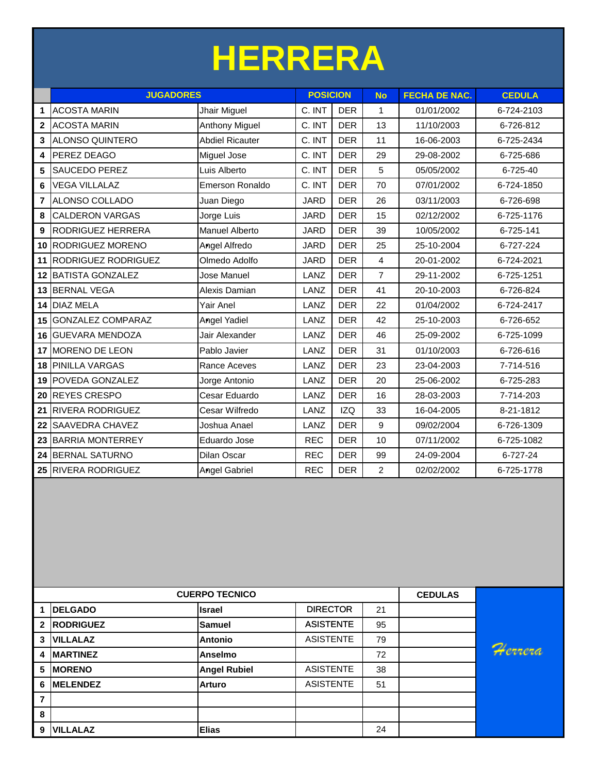# **HERRERA**

|                | <b>JUGADORES</b>           |                        | <b>POSICION</b> |            | <b>No</b>      | <b>FECHA DE NAC.</b> | <b>CEDULA</b> |
|----------------|----------------------------|------------------------|-----------------|------------|----------------|----------------------|---------------|
| 1              | <b>ACOSTA MARIN</b>        | Jhair Miguel           | C. INT          | <b>DER</b> | 1              | 01/01/2002           | 6-724-2103    |
| $\overline{2}$ | <b>ACOSTA MARIN</b>        | <b>Anthony Miguel</b>  | C. INT          | <b>DER</b> | 13             | 11/10/2003           | 6-726-812     |
| 3              | <b>ALONSO QUINTERO</b>     | <b>Abdiel Ricauter</b> | C. INT          | <b>DER</b> | 11             | 16-06-2003           | 6-725-2434    |
| 4              | PEREZ DEAGO                | Miguel Jose            | C. INT          | <b>DER</b> | 29             | 29-08-2002           | 6-725-686     |
| 5              | <b>SAUCEDO PEREZ</b>       | Luis Alberto           | C. INT          | <b>DER</b> | 5              | 05/05/2002           | 6-725-40      |
| 6              | <b>VEGA VILLALAZ</b>       | Emerson Ronaldo        | C. INT          | <b>DER</b> | 70             | 07/01/2002           | 6-724-1850    |
| $\overline{7}$ | ALONSO COLLADO             | Juan Diego             | <b>JARD</b>     | <b>DER</b> | 26             | 03/11/2003           | 6-726-698     |
| 8              | <b>CALDERON VARGAS</b>     | Jorge Luis             | <b>JARD</b>     | <b>DER</b> | 15             | 02/12/2002           | 6-725-1176    |
| 9              | RODRIGUEZ HERRERA          | <b>Manuel Alberto</b>  | <b>JARD</b>     | <b>DER</b> | 39             | 10/05/2002           | 6-725-141     |
| 10             | RODRIGUEZ MORENO           | Angel Alfredo          | <b>JARD</b>     | <b>DER</b> | 25             | 25-10-2004           | 6-727-224     |
| 11             | <b>RODRIGUEZ RODRIGUEZ</b> | Olmedo Adolfo          | <b>JARD</b>     | <b>DER</b> | 4              | 20-01-2002           | 6-724-2021    |
| 12             | <b>BATISTA GONZALEZ</b>    | Jose Manuel            | LANZ            | <b>DER</b> | $\overline{7}$ | 29-11-2002           | 6-725-1251    |
|                | 13 BERNAL VEGA             | Alexis Damian          | LANZ            | <b>DER</b> | 41             | 20-10-2003           | 6-726-824     |
| 14             | <b>DIAZ MELA</b>           | Yair Anel              | LANZ            | <b>DER</b> | 22             | 01/04/2002           | 6-724-2417    |
| 15             | <b>GONZALEZ COMPARAZ</b>   | <b>Angel Yadiel</b>    | LANZ            | <b>DER</b> | 42             | 25-10-2003           | 6-726-652     |
| 16             | <b>GUEVARA MENDOZA</b>     | Jair Alexander         | LANZ            | <b>DER</b> | 46             | 25-09-2002           | 6-725-1099    |
| 17             | <b>MORENO DE LEON</b>      | Pablo Javier           | LANZ            | <b>DER</b> | 31             | 01/10/2003           | 6-726-616     |
| 18             | <b>PINILLA VARGAS</b>      | Rance Aceves           | LANZ            | <b>DER</b> | 23             | 23-04-2003           | 7-714-516     |
| 19             | POVEDA GONZALEZ            | Jorge Antonio          | LANZ            | <b>DER</b> | 20             | 25-06-2002           | 6-725-283     |
| 20             | <b>REYES CRESPO</b>        | Cesar Eduardo          | LANZ            | <b>DER</b> | 16             | 28-03-2003           | 7-714-203     |
| 21             | <b>RIVERA RODRIGUEZ</b>    | Cesar Wilfredo         | LANZ            | <b>IZQ</b> | 33             | 16-04-2005           | 8-21-1812     |
| 22             | <b>SAAVEDRA CHAVEZ</b>     | Joshua Anael           | LANZ            | <b>DER</b> | 9              | 09/02/2004           | 6-726-1309    |
|                | 23 BARRIA MONTERREY        | Eduardo Jose           | <b>REC</b>      | <b>DER</b> | 10             | 07/11/2002           | 6-725-1082    |
| 24             | <b>BERNAL SATURNO</b>      | Dilan Oscar            | <b>REC</b>      | <b>DER</b> | 99             | 24-09-2004           | 6-727-24      |
|                | 25 RIVERA RODRIGUEZ        | <b>Angel Gabriel</b>   | <b>REC</b>      | <b>DER</b> | $\overline{2}$ | 02/02/2002           | 6-725-1778    |

|                          |                  | <b>CUERPO TECNICO</b> |                  |    | <b>CEDULAS</b> |
|--------------------------|------------------|-----------------------|------------------|----|----------------|
|                          | <b>DELGADO</b>   | <b>Israel</b>         | <b>DIRECTOR</b>  | 21 |                |
| $\overline{2}$           | <b>RODRIGUEZ</b> | Samuel                | <b>ASISTENTE</b> | 95 |                |
| 3                        | <b>VILLALAZ</b>  | <b>Antonio</b>        | <b>ASISTENTE</b> | 79 |                |
|                          | <b>MARTINEZ</b>  | <b>Anselmo</b>        |                  | 72 |                |
| 5                        | <b>IMORENO</b>   | <b>Angel Rubiel</b>   | <b>ASISTENTE</b> | 38 |                |
| 6                        | <b>MELENDEZ</b>  | <b>Arturo</b>         | <b>ASISTENTE</b> | 51 |                |
| $\overline{\phantom{a}}$ |                  |                       |                  |    |                |
| 8                        |                  |                       |                  |    |                |
| 9                        | <b>VILLALAZ</b>  | <b>Elias</b>          |                  | 24 |                |

Herrera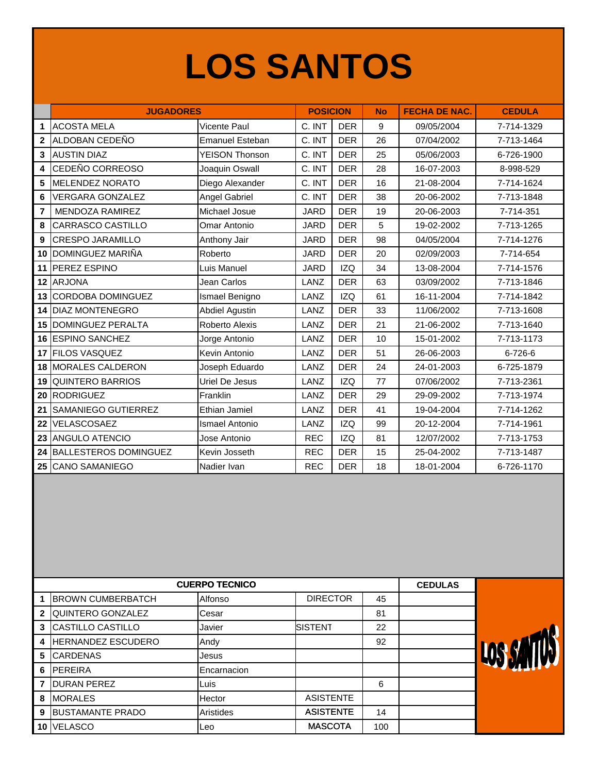### **LOS SANTOS**

|                | <b>JUGADORES</b>             |                       | <b>POSICION</b> |            | <b>No</b> | <b>FECHA DE NAC.</b> | <b>CEDULA</b> |
|----------------|------------------------------|-----------------------|-----------------|------------|-----------|----------------------|---------------|
| 1              | <b>ACOSTA MELA</b>           | Vicente Paul          | C. INT          | <b>DER</b> | 9         | 09/05/2004           | 7-714-1329    |
| $\overline{2}$ | ALDOBAN CEDEÑO               | Emanuel Esteban       | C. INT          | <b>DER</b> | 26        | 07/04/2002           | 7-713-1464    |
| 3              | <b>AUSTIN DIAZ</b>           | <b>YEISON Thonson</b> | C. INT          | <b>DER</b> | 25        | 05/06/2003           | 6-726-1900    |
| 4              | CEDEÑO CORREOSO              | Joaquin Oswall        | C. INT          | <b>DER</b> | 28        | 16-07-2003           | 8-998-529     |
| 5              | <b>MELENDEZ NORATO</b>       | Diego Alexander       | C. INT          | <b>DER</b> | 16        | 21-08-2004           | 7-714-1624    |
| 6              | <b>VERGARA GONZALEZ</b>      | Angel Gabriel         | C. INT          | <b>DER</b> | 38        | 20-06-2002           | 7-713-1848    |
| $\overline{7}$ | <b>MENDOZA RAMIREZ</b>       | Michael Josue         | <b>JARD</b>     | <b>DER</b> | 19        | 20-06-2003           | 7-714-351     |
| 8              | CARRASCO CASTILLO            | Omar Antonio          | <b>JARD</b>     | <b>DER</b> | 5         | 19-02-2002           | 7-713-1265    |
| 9              | <b>CRESPO JARAMILLO</b>      | Anthony Jair          | <b>JARD</b>     | <b>DER</b> | 98        | 04/05/2004           | 7-714-1276    |
| 10             | DOMINGUEZ MARIÑA             | Roberto               | <b>JARD</b>     | <b>DER</b> | 20        | 02/09/2003           | 7-714-654     |
| 11             | PEREZ ESPINO                 | Luis Manuel           | <b>JARD</b>     | <b>IZQ</b> | 34        | 13-08-2004           | 7-714-1576    |
| 12             | <b>ARJONA</b>                | Jean Carlos           | LANZ            | <b>DER</b> | 63        | 03/09/2002           | 7-713-1846    |
| 13             | <b>CORDOBA DOMINGUEZ</b>     | Ismael Benigno        | LANZ            | <b>IZQ</b> | 61        | 16-11-2004           | 7-714-1842    |
| 14             | <b>DIAZ MONTENEGRO</b>       | <b>Abdiel Agustin</b> | LANZ            | <b>DER</b> | 33        | 11/06/2002           | 7-713-1608    |
| 15             | <b>DOMINGUEZ PERALTA</b>     | Roberto Alexis        | LANZ            | <b>DER</b> | 21        | 21-06-2002           | 7-713-1640    |
|                | 16 ESPINO SANCHEZ            | Jorge Antonio         | LANZ            | <b>DER</b> | 10        | 15-01-2002           | 7-713-1173    |
| 17             | <b>FILOS VASQUEZ</b>         | Kevin Antonio         | LANZ            | <b>DER</b> | 51        | 26-06-2003           | 6-726-6       |
| 18             | <b>MORALES CALDERON</b>      | Joseph Eduardo        | LANZ            | <b>DER</b> | 24        | 24-01-2003           | 6-725-1879    |
| 19             | <b>QUINTERO BARRIOS</b>      | Uriel De Jesus        | LANZ            | <b>IZQ</b> | 77        | 07/06/2002           | 7-713-2361    |
| 20             | <b>RODRIGUEZ</b>             | Franklin              | LANZ            | <b>DER</b> | 29        | 29-09-2002           | 7-713-1974    |
| 21             | <b>SAMANIEGO GUTIERREZ</b>   | Ethian Jamiel         | LANZ            | <b>DER</b> | 41        | 19-04-2004           | 7-714-1262    |
| 22             | VELASCOSAEZ                  | <b>Ismael Antonio</b> | LANZ            | <b>IZQ</b> | 99        | 20-12-2004           | 7-714-1961    |
| 23             | <b>ANGULO ATENCIO</b>        | Jose Antonio          | <b>REC</b>      | <b>IZQ</b> | 81        | 12/07/2002           | 7-713-1753    |
| 24             | <b>BALLESTEROS DOMINGUEZ</b> | Kevin Josseth         | <b>REC</b>      | <b>DER</b> | 15        | 25-04-2002           | 7-713-1487    |
| 25             | <b>CANO SAMANIEGO</b>        | Nadier Ivan           | <b>REC</b>      | <b>DER</b> | 18        | 18-01-2004           | 6-726-1170    |

|    |                          | <b>CUERPO TECNICO</b> |                  |     | <b>CEDULAS</b> |  |
|----|--------------------------|-----------------------|------------------|-----|----------------|--|
|    | <b>BROWN CUMBERBATCH</b> | Alfonso               | <b>DIRECTOR</b>  | 45  |                |  |
| 2  | QUINTERO GONZALEZ        | Cesar                 |                  | 81  |                |  |
| 3  | <b>CASTILLO CASTILLO</b> | Javier                | <b>SISTENT</b>   | 22  |                |  |
| 4  | HERNANDEZ ESCUDERO       | Andy                  |                  | 92  |                |  |
| 5  | <b>CARDENAS</b>          | Jesus                 |                  |     |                |  |
| 6  | PEREIRA                  | Encarnacion           |                  |     |                |  |
|    | <b>DURAN PEREZ</b>       | Luis                  |                  | 6   |                |  |
| 8  | <b>MORALES</b>           | Hector                | <b>ASISTENTE</b> |     |                |  |
| 9  | <b>BUSTAMANTE PRADO</b>  | Aristides             | <b>ASISTENTE</b> | 14  |                |  |
| 10 | <b>VELASCO</b>           | Leo                   | <b>MASCOTA</b>   | 100 |                |  |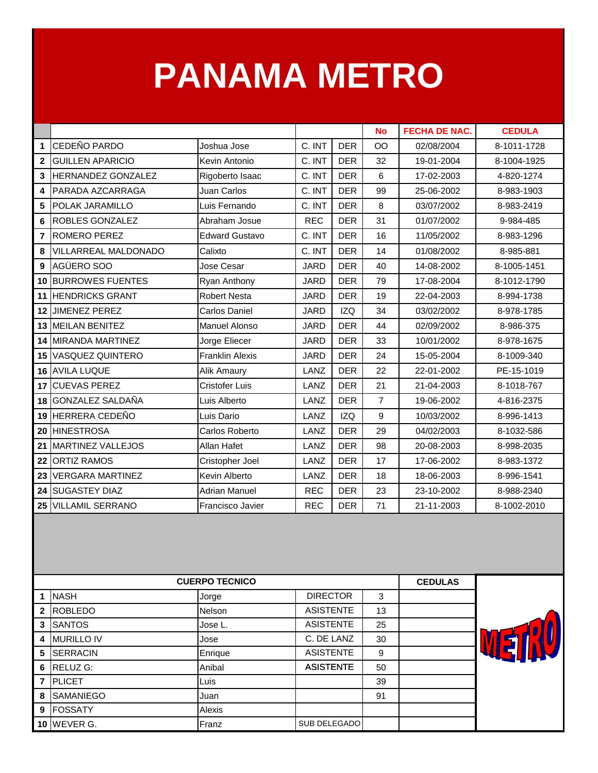### **PANAMA METRO**

|                |                           |                        |             |            | <b>No</b>      | <b>FECHA DE NAC.</b> | <b>CEDULA</b> |
|----------------|---------------------------|------------------------|-------------|------------|----------------|----------------------|---------------|
| 1              | CEDEÑO PARDO              | Joshua Jose            | C. INT      | <b>DER</b> | OO             | 02/08/2004           | 8-1011-1728   |
| $\overline{2}$ | <b>GUILLEN APARICIO</b>   | Kevin Antonio          | C. INT      | <b>DER</b> | 32             | 19-01-2004           | 8-1004-1925   |
| $\mathbf{3}$   | <b>HERNANDEZ GONZALEZ</b> | Rigoberto Isaac        | C. INT      | <b>DER</b> | 6              | 17-02-2003           | 4-820-1274    |
| 4              | PARADA AZCARRAGA          | Juan Carlos            | C. INT      | <b>DER</b> | 99             | 25-06-2002           | 8-983-1903    |
| 5              | POLAK JARAMILLO           | Luis Fernando          | C. INT      | <b>DER</b> | 8              | 03/07/2002           | 8-983-2419    |
| 6              | <b>ROBLES GONZALEZ</b>    | Abraham Josue          | <b>REC</b>  | <b>DER</b> | 31             | 01/07/2002           | 9-984-485     |
| $\overline{7}$ | ROMERO PEREZ              | <b>Edward Gustavo</b>  | C. INT      | <b>DER</b> | 16             | 11/05/2002           | 8-983-1296    |
| 8              | VILLARREAL MALDONADO      | Calixto                | C. INT      | <b>DER</b> | 14             | 01/08/2002           | 8-985-881     |
| 9              | AGÜERO SOO                | Jose Cesar             | <b>JARD</b> | <b>DER</b> | 40             | 14-08-2002           | 8-1005-1451   |
| 10             | <b>BURROWES FUENTES</b>   | Ryan Anthony           | <b>JARD</b> | <b>DER</b> | 79             | 17-08-2004           | 8-1012-1790   |
| 11             | <b>HENDRICKS GRANT</b>    | <b>Robert Nesta</b>    | <b>JARD</b> | <b>DER</b> | 19             | 22-04-2003           | 8-994-1738    |
| 12             | <b>JIMENEZ PEREZ</b>      | Carlos Daniel          | <b>JARD</b> | <b>IZQ</b> | 34             | 03/02/2002           | 8-978-1785    |
|                | 13 MEILAN BENITEZ         | Manuel Alonso          | <b>JARD</b> | <b>DER</b> | 44             | 02/09/2002           | 8-986-375     |
|                | 14 MIRANDA MARTINEZ       | Jorge Eliecer          | <b>JARD</b> | <b>DER</b> | 33             | 10/01/2002           | 8-978-1675    |
| 15             | VASQUEZ QUINTERO          | <b>Franklin Alexis</b> | <b>JARD</b> | <b>DER</b> | 24             | 15-05-2004           | 8-1009-340    |
| 16             | <b>AVILA LUQUE</b>        | Alik Amaury            | LANZ        | <b>DER</b> | 22             | 22-01-2002           | PE-15-1019    |
| 17             | <b>CUEVAS PEREZ</b>       | <b>Cristofer Luis</b>  | LANZ        | <b>DER</b> | 21             | 21-04-2003           | 8-1018-767    |
| 18             | <b>GONZALEZ SALDAÑA</b>   | Luis Alberto           | LANZ        | <b>DER</b> | $\overline{7}$ | 19-06-2002           | 4-816-2375    |
| 19             | HERRERA CEDEÑO            | Luis Dario             | LANZ        | <b>IZQ</b> | 9              | 10/03/2002           | 8-996-1413    |
| 20             | <b>HINESTROSA</b>         | Carlos Roberto         | LANZ        | <b>DER</b> | 29             | 04/02/2003           | 8-1032-586    |
| 21             | <b>MARTINEZ VALLEJOS</b>  | Allan Hafet            | LANZ        | <b>DER</b> | 98             | 20-08-2003           | 8-998-2035    |
| 22             | <b>ORTIZ RAMOS</b>        | Cristopher Joel        | LANZ        | <b>DER</b> | 17             | 17-06-2002           | 8-983-1372    |
| 23             | <b>VERGARA MARTINEZ</b>   | <b>Kevin Alberto</b>   | LANZ        | <b>DER</b> | 18             | 18-06-2003           | 8-996-1541    |
| 24             | <b>SUGASTEY DIAZ</b>      | <b>Adrian Manuel</b>   | <b>REC</b>  | <b>DER</b> | 23             | 23-10-2002           | 8-988-2340    |
| 25             | <b>VILLAMIL SERRANO</b>   | Francisco Javier       | <b>REC</b>  | <b>DER</b> | 71             | 21-11-2003           | 8-1002-2010   |

|                |                   | <b>CUERPO TECNICO</b> |                  |    | <b>CEDULAS</b> |  |
|----------------|-------------------|-----------------------|------------------|----|----------------|--|
| -1             | <b>NASH</b>       | Jorge                 | <b>DIRECTOR</b>  | 3  |                |  |
| $\overline{2}$ | <b>ROBLEDO</b>    | <b>Nelson</b>         | <b>ASISTENTE</b> | 13 |                |  |
| 3              | <b>SANTOS</b>     | Jose L.               | <b>ASISTENTE</b> | 25 |                |  |
| 4              | <b>MURILLO IV</b> | Jose                  | C. DE LANZ       | 30 |                |  |
| 5              | <b>SERRACIN</b>   | Enrique               | <b>ASISTENTE</b> | 9  |                |  |
| 6              | <b>RELUZ G:</b>   | Anibal                | <b>ASISTENTE</b> | 50 |                |  |
| $\overline{7}$ | <b>IPLICET</b>    | Luis                  |                  | 39 |                |  |
| 8              | <b>SAMANIEGO</b>  | Juan                  |                  | 91 |                |  |
| 9              | <b>IFOSSATY</b>   | Alexis                |                  |    |                |  |
|                | $10$ WEVER G.     | Franz                 | SUB DELEGADO     |    |                |  |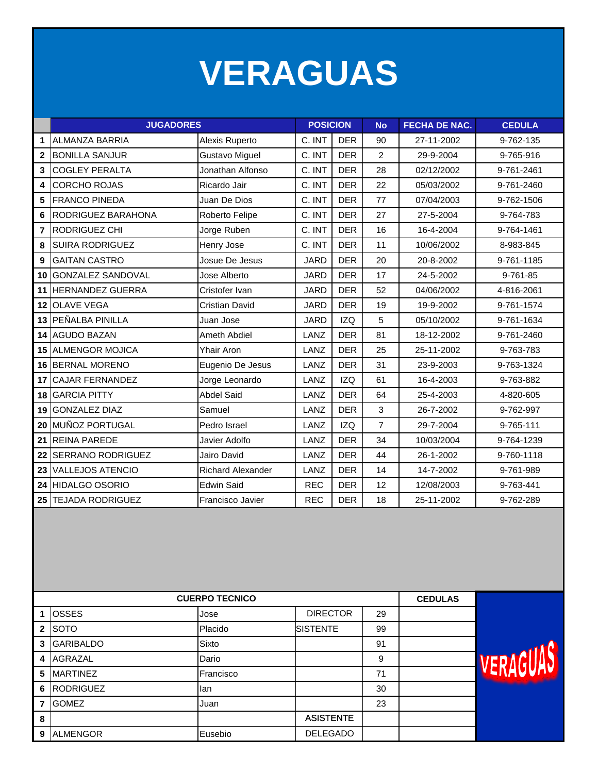### **VERAGUAS**

|                  | <b>JUGADORES</b>         |                          | <b>POSICION</b> |            | <b>No</b>      | <b>FECHA DE NAC.</b> | <b>CEDULA</b> |
|------------------|--------------------------|--------------------------|-----------------|------------|----------------|----------------------|---------------|
| 1                | <b>ALMANZA BARRIA</b>    | Alexis Ruperto           | C. INT          | <b>DER</b> | 90             | 27-11-2002           | 9-762-135     |
| $\overline{2}$   | <b>BONILLA SANJUR</b>    | <b>Gustavo Miguel</b>    | C. INT          | <b>DER</b> | $\overline{2}$ | 29-9-2004            | 9-765-916     |
| 3                | <b>COGLEY PERALTA</b>    | Jonathan Alfonso         | C. INT          | <b>DER</b> | 28             | 02/12/2002           | 9-761-2461    |
| 4                | <b>CORCHO ROJAS</b>      | Ricardo Jair             | C. INT          | <b>DER</b> | 22             | 05/03/2002           | 9-761-2460    |
| 5                | <b>FRANCO PINEDA</b>     | Juan De Dios             | C. INT          | <b>DER</b> | 77             | 07/04/2003           | 9-762-1506    |
| 6                | RODRIGUEZ BARAHONA       | Roberto Felipe           | C. INT          | <b>DER</b> | 27             | 27-5-2004            | 9-764-783     |
| $\overline{7}$   | RODRIGUEZ CHI            | Jorge Ruben              | C. INT          | <b>DER</b> | 16             | 16-4-2004            | 9-764-1461    |
| 8                | <b>SUIRA RODRIGUEZ</b>   | Henry Jose               | C. INT          | <b>DER</b> | 11             | 10/06/2002           | 8-983-845     |
| $\boldsymbol{9}$ | <b>GAITAN CASTRO</b>     | Josue De Jesus           | <b>JARD</b>     | <b>DER</b> | 20             | 20-8-2002            | 9-761-1185    |
| 10               | <b>GONZALEZ SANDOVAL</b> | Jose Alberto             | <b>JARD</b>     | <b>DER</b> | 17             | 24-5-2002            | 9-761-85      |
| 11               | <b>HERNANDEZ GUERRA</b>  | Cristofer Ivan           | <b>JARD</b>     | <b>DER</b> | 52             | 04/06/2002           | 4-816-2061    |
| 12               | <b>OLAVE VEGA</b>        | Cristian David           | <b>JARD</b>     | <b>DER</b> | 19             | 19-9-2002            | 9-761-1574    |
|                  | 13 PEÑALBA PINILLA       | Juan Jose                | <b>JARD</b>     | <b>IZQ</b> | 5              | 05/10/2002           | 9-761-1634    |
|                  | 14 AGUDO BAZAN           | Ameth Abdiel             | LANZ            | <b>DER</b> | 81             | 18-12-2002           | 9-761-2460    |
| 15               | <b>ALMENGOR MOJICA</b>   | Yhair Aron               | LANZ            | <b>DER</b> | 25             | 25-11-2002           | 9-763-783     |
|                  | 16 BERNAL MORENO         | Eugenio De Jesus         | LANZ            | <b>DER</b> | 31             | 23-9-2003            | 9-763-1324    |
| 17               | <b>CAJAR FERNANDEZ</b>   | Jorge Leonardo           | LANZ            | <b>IZQ</b> | 61             | 16-4-2003            | 9-763-882     |
| 18               | <b>GARCIA PITTY</b>      | <b>Abdel Said</b>        | LANZ            | <b>DER</b> | 64             | 25-4-2003            | 4-820-605     |
| 19               | <b>GONZALEZ DIAZ</b>     | Samuel                   | LANZ            | <b>DER</b> | 3              | 26-7-2002            | 9-762-997     |
| 20               | MUÑOZ PORTUGAL           | Pedro Israel             | LANZ            | <b>IZQ</b> | $\overline{7}$ | 29-7-2004            | 9-765-111     |
| 21               | <b>REINA PAREDE</b>      | Javier Adolfo            | LANZ            | <b>DER</b> | 34             | 10/03/2004           | 9-764-1239    |
| 22               | <b>SERRANO RODRIGUEZ</b> | Jairo David              | LANZ            | <b>DER</b> | 44             | 26-1-2002            | 9-760-1118    |
| 23               | <b>VALLEJOS ATENCIO</b>  | <b>Richard Alexander</b> | LANZ            | <b>DER</b> | 14             | 14-7-2002            | 9-761-989     |
| 24               | <b>HIDALGO OSORIO</b>    | <b>Edwin Said</b>        | <b>REC</b>      | <b>DER</b> | 12             | 12/08/2003           | 9-763-441     |
| 25               | <b>TEJADA RODRIGUEZ</b>  | <b>Francisco Javier</b>  | <b>REC</b>      | <b>DER</b> | 18             | 25-11-2002           | 9-762-289     |

|              | <b>CUERPO TECNICO</b> | <b>CEDULAS</b> |                  |    |  |  |
|--------------|-----------------------|----------------|------------------|----|--|--|
|              | <b>OSSES</b>          | Jose           | <b>DIRECTOR</b>  | 29 |  |  |
| $\mathbf{2}$ | <b>SOTO</b>           | Placido        | <b>SISTENTE</b>  | 99 |  |  |
| 3            | <b>GARIBALDO</b>      | Sixto          |                  | 91 |  |  |
| 4            | AGRAZAL               | Dario          |                  | 9  |  |  |
| 5            | <b>MARTINEZ</b>       | Francisco      |                  | 71 |  |  |
| 6            | <b>RODRIGUEZ</b>      | lan            |                  | 30 |  |  |
| 7            | <b>GOMEZ</b>          | Juan           |                  | 23 |  |  |
| 8            |                       |                | <b>ASISTENTE</b> |    |  |  |
| 9            | <b>ALMENGOR</b>       | Eusebio        | <b>DELEGADO</b>  |    |  |  |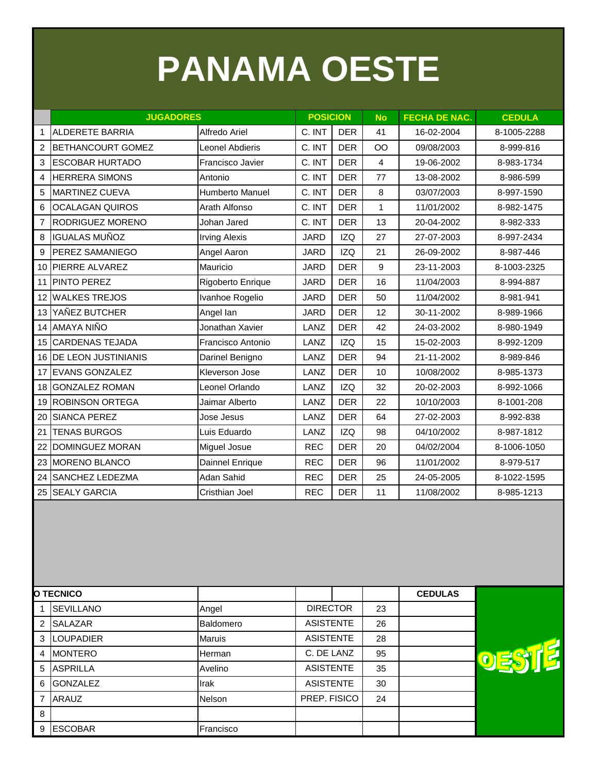# **PANAMA OESTE**

|                | <b>JUGADORES</b>           |                        | <b>POSICION</b> |            | <b>No</b> | <b>FECHA DE NAC.</b> | <b>CEDULA</b> |
|----------------|----------------------------|------------------------|-----------------|------------|-----------|----------------------|---------------|
| $\mathbf{1}$   | <b>ALDERETE BARRIA</b>     | Alfredo Ariel          | C. INT          | <b>DER</b> | 41        | 16-02-2004           | 8-1005-2288   |
| 2              | <b>BETHANCOURT GOMEZ</b>   | <b>Leonel Abdieris</b> | C. INT          | <b>DER</b> | <b>OO</b> | 09/08/2003           | 8-999-816     |
| 3              | <b>ESCOBAR HURTADO</b>     | Francisco Javier       | C. INT          | <b>DER</b> | 4         | 19-06-2002           | 8-983-1734    |
| 4              | <b>HERRERA SIMONS</b>      | Antonio                | C. INT          | <b>DER</b> | 77        | 13-08-2002           | 8-986-599     |
| 5              | <b>MARTINEZ CUEVA</b>      | Humberto Manuel        | C. INT          | <b>DER</b> | 8         | 03/07/2003           | 8-997-1590    |
| 6              | <b>OCALAGAN QUIROS</b>     | Arath Alfonso          | C. INT          | <b>DER</b> | 1         | 11/01/2002           | 8-982-1475    |
| $\overline{7}$ | RODRIGUEZ MORENO           | Johan Jared            | C. INT          | <b>DER</b> | 13        | 20-04-2002           | 8-982-333     |
| 8              | <b>IGUALAS MUÑOZ</b>       | <b>Irving Alexis</b>   | <b>JARD</b>     | <b>IZQ</b> | 27        | 27-07-2003           | 8-997-2434    |
| 9              | <b>PEREZ SAMANIEGO</b>     | Angel Aaron            | <b>JARD</b>     | <b>IZQ</b> | 21        | 26-09-2002           | 8-987-446     |
| 10             | PIERRE ALVAREZ             | Mauricio               | <b>JARD</b>     | <b>DER</b> | 9         | 23-11-2003           | 8-1003-2325   |
| 11             | PINTO PEREZ                | Rigoberto Enrique      | <b>JARD</b>     | <b>DER</b> | 16        | 11/04/2003           | 8-994-887     |
| 12             | <b>WALKES TREJOS</b>       | Ivanhoe Rogelio        | JARD            | <b>DER</b> | 50        | 11/04/2002           | 8-981-941     |
| 13             | YAÑEZ BUTCHER              | Angel lan              | <b>JARD</b>     | <b>DER</b> | 12        | 30-11-2002           | 8-989-1966    |
| 14             | <b>AMAYA NIÑO</b>          | Jonathan Xavier        | LANZ            | <b>DER</b> | 42        | 24-03-2002           | 8-980-1949    |
| 15             | <b>CARDENAS TEJADA</b>     | Francisco Antonio      | LANZ            | <b>IZQ</b> | 15        | 15-02-2003           | 8-992-1209    |
| 16             | <b>DE LEON JUSTINIANIS</b> | Darinel Benigno        | LANZ            | <b>DER</b> | 94        | 21-11-2002           | 8-989-846     |
| 17             | <b>EVANS GONZALEZ</b>      | <b>Kleverson Jose</b>  | LANZ            | <b>DER</b> | 10        | 10/08/2002           | 8-985-1373    |
| 18             | <b>GONZALEZ ROMAN</b>      | Leonel Orlando         | LANZ            | <b>IZQ</b> | 32        | 20-02-2003           | 8-992-1066    |
| 19             | <b>ROBINSON ORTEGA</b>     | Jaimar Alberto         | LANZ            | <b>DER</b> | 22        | 10/10/2003           | 8-1001-208    |
| 20             | <b>SIANCA PEREZ</b>        | Jose Jesus             | LANZ            | <b>DER</b> | 64        | 27-02-2003           | 8-992-838     |
| 21             | <b>TENAS BURGOS</b>        | Luis Eduardo           | LANZ            | <b>IZQ</b> | 98        | 04/10/2002           | 8-987-1812    |
| 22             | <b>DOMINGUEZ MORAN</b>     | Miguel Josue           | <b>REC</b>      | <b>DER</b> | 20        | 04/02/2004           | 8-1006-1050   |
| 23             | <b>MORENO BLANCO</b>       | Dainnel Enrique        | <b>REC</b>      | <b>DER</b> | 96        | 11/01/2002           | 8-979-517     |
| 24             | <b>SANCHEZ LEDEZMA</b>     | Adan Sahid             | <b>REC</b>      | <b>DER</b> | 25        | 24-05-2005           | 8-1022-1595   |
| 25             | <b>SEALY GARCIA</b>        | Cristhian Joel         | <b>REC</b>      | <b>DER</b> | 11        | 11/08/2002           | 8-985-1213    |

|   | <b>O TECNICO</b> |               |                  |    | <b>CEDULAS</b> |
|---|------------------|---------------|------------------|----|----------------|
|   | <b>SEVILLANO</b> | Angel         | <b>DIRECTOR</b>  | 23 |                |
| 2 | SALAZAR          | Baldomero     | <b>ASISTENTE</b> | 26 |                |
| 3 | <b>LOUPADIER</b> | <b>Maruis</b> | <b>ASISTENTE</b> | 28 |                |
| 4 | <b>MONTERO</b>   | Herman        | C. DE LANZ       | 95 |                |
| 5 | <b>ASPRILLA</b>  | Avelino       | <b>ASISTENTE</b> | 35 |                |
| 6 | <b>GONZALEZ</b>  | Irak          | <b>ASISTENTE</b> | 30 |                |
| 7 | <b>ARAUZ</b>     | <b>Nelson</b> | PREP. FISICO     | 24 |                |
| 8 |                  |               |                  |    |                |
| 9 | <b>ESCOBAR</b>   | Francisco     |                  |    |                |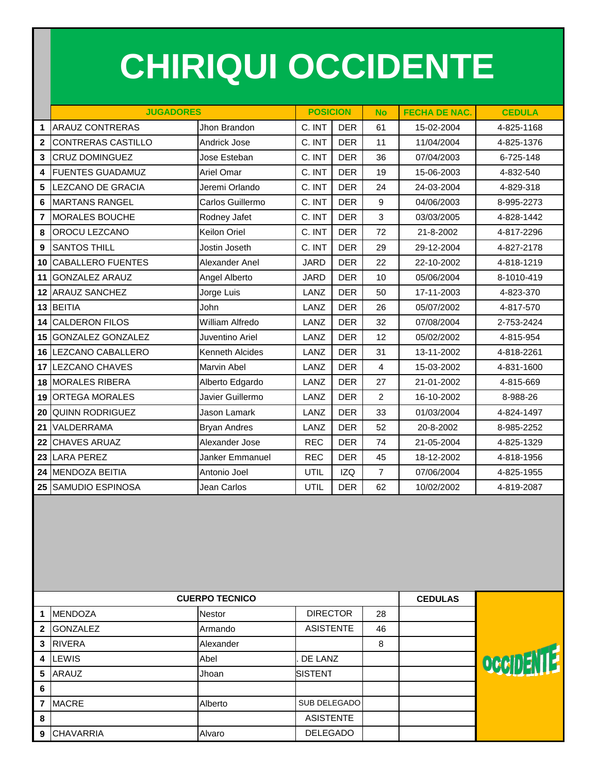## **CHIRIQUI OCCIDENTE**

|                | <b>JUGADORES</b>          |                        | <b>POSICION</b> |            | <b>No</b>      | <b>FECHA DE NAC.</b> | <b>CEDULA</b> |  |
|----------------|---------------------------|------------------------|-----------------|------------|----------------|----------------------|---------------|--|
| 1              | <b>ARAUZ CONTRERAS</b>    | Jhon Brandon           | C. INT          | <b>DER</b> | 61             | 15-02-2004           | 4-825-1168    |  |
| $\overline{2}$ | <b>CONTRERAS CASTILLO</b> | Andrick Jose           | C. INT          | <b>DER</b> | 11             | 11/04/2004           | 4-825-1376    |  |
| $\overline{3}$ | <b>CRUZ DOMINGUEZ</b>     | Jose Esteban           | C. INT          | <b>DER</b> | 36             | 07/04/2003           | 6-725-148     |  |
| 4              | <b>FUENTES GUADAMUZ</b>   | <b>Ariel Omar</b>      | C. INT          | <b>DER</b> | 19             | 15-06-2003           | 4-832-540     |  |
| 5              | LEZCANO DE GRACIA         | Jeremi Orlando         | C. INT          | <b>DER</b> | 24             | 24-03-2004           | 4-829-318     |  |
| 6              | <b>MARTANS RANGEL</b>     | Carlos Guillermo       | C. INT          | <b>DER</b> | 9              | 04/06/2003           | 8-995-2273    |  |
| $\overline{7}$ | <b>MORALES BOUCHE</b>     | Rodney Jafet           | C. INT          | <b>DER</b> | 3              | 03/03/2005           | 4-828-1442    |  |
| 8              | OROCU LEZCANO             | Keilon Oriel           | C. INT          | <b>DER</b> | 72             | 21-8-2002            | 4-817-2296    |  |
| 9              | <b>SANTOS THILL</b>       | Jostin Joseth          | C. INT          | <b>DER</b> | 29             | 29-12-2004           | 4-827-2178    |  |
| 10             | <b>CABALLERO FUENTES</b>  | Alexander Anel         | <b>JARD</b>     | <b>DER</b> | 22             | 22-10-2002           | 4-818-1219    |  |
| 11             | <b>GONZALEZ ARAUZ</b>     | Angel Alberto          | <b>JARD</b>     | <b>DER</b> | 10             | 05/06/2004           | 8-1010-419    |  |
| 12             | <b>ARAUZ SANCHEZ</b>      | Jorge Luis             | LANZ            | <b>DER</b> | 50             | 17-11-2003           | 4-823-370     |  |
|                | 13 BEITIA                 | John                   | LANZ            | <b>DER</b> | 26             | 05/07/2002           | 4-817-570     |  |
| 14             | <b>CALDERON FILOS</b>     | William Alfredo        | LANZ            | <b>DER</b> | 32             | 07/08/2004           | 2-753-2424    |  |
| 15             | <b>GONZALEZ GONZALEZ</b>  | Juventino Ariel        | LANZ            | <b>DER</b> | 12             | 05/02/2002           | 4-815-954     |  |
| 16             | LEZCANO CABALLERO         | <b>Kenneth Alcides</b> | LANZ            | <b>DER</b> | 31             | 13-11-2002           | 4-818-2261    |  |
| 17             | <b>LEZCANO CHAVES</b>     | <b>Marvin Abel</b>     | LANZ            | <b>DER</b> | 4              | 15-03-2002           | 4-831-1600    |  |
|                | <b>18 MORALES RIBERA</b>  | Alberto Edgardo        | LANZ            | <b>DER</b> | 27             | 21-01-2002           | 4-815-669     |  |
| 19             | <b>ORTEGA MORALES</b>     | Javier Guillermo       | LANZ            | <b>DER</b> | $\overline{2}$ | 16-10-2002           | 8-988-26      |  |
| 20             | <b>QUINN RODRIGUEZ</b>    | Jason Lamark           | LANZ            | <b>DER</b> | 33             | 01/03/2004           | 4-824-1497    |  |
| 21             | VALDERRAMA                | <b>Bryan Andres</b>    | LANZ            | <b>DER</b> | 52             | 20-8-2002            | 8-985-2252    |  |
| 22             | <b>CHAVES ARUAZ</b>       | Alexander Jose         | <b>REC</b>      | <b>DER</b> | 74             | 21-05-2004           | 4-825-1329    |  |
| 23             | <b>LARA PEREZ</b>         | Janker Emmanuel        | <b>REC</b>      | <b>DER</b> | 45             | 18-12-2002           | 4-818-1956    |  |
|                | 24 MENDOZA BEITIA         | Antonio Joel           | UTIL            | <b>IZQ</b> | $\overline{7}$ | 07/06/2004           | 4-825-1955    |  |
|                | 25 SAMUDIO ESPINOSA       | Jean Carlos            | UTIL            | <b>DER</b> | 62             | 10/02/2002           | 4-819-2087    |  |
|                |                           |                        |                 |            |                |                      |               |  |

|              | <b>CUERPO TECNICO</b> | <b>CEDULAS</b> |                  |    |  |     |
|--------------|-----------------------|----------------|------------------|----|--|-----|
|              | <b>MENDOZA</b>        | Nestor         | <b>DIRECTOR</b>  | 28 |  |     |
| $\mathbf{2}$ | <b>GONZALEZ</b>       | Armando        | <b>ASISTENTE</b> | 46 |  |     |
| 3            | <b>RIVERA</b>         | Alexander      |                  | 8  |  |     |
| 4            | LEWIS                 | Abel           | DE LANZ          |    |  | OCC |
| 5            | <b>ARAUZ</b>          | Jhoan          | <b>SISTENT</b>   |    |  |     |
| 6            |                       |                |                  |    |  |     |
| 7            | <b>MACRE</b>          | Alberto        | SUB DELEGADO     |    |  |     |
| 8            |                       |                | <b>ASISTENTE</b> |    |  |     |
| 9            | <b>CHAVARRIA</b>      | Alvaro         | <b>DELEGADO</b>  |    |  |     |

Ĺ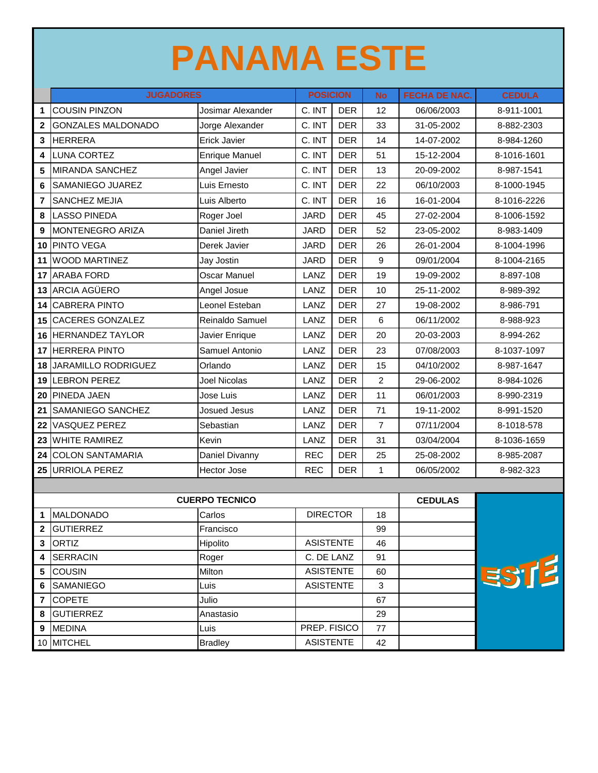## **PANAMA ESTE**

|                              | <b>JUGADORES</b>           |                       | <b>POSICION</b>                      |            | <b>No</b>      | <b>FECHA DE NAC.</b> | <b>CEDULA</b> |
|------------------------------|----------------------------|-----------------------|--------------------------------------|------------|----------------|----------------------|---------------|
| $\mathbf 1$                  | <b>COUSIN PINZON</b>       | Josimar Alexander     | C. INT                               | <b>DER</b> | 12             | 06/06/2003           | 8-911-1001    |
| $\mathbf{2}$                 | <b>GONZALES MALDONADO</b>  | Jorge Alexander       | C. INT                               | <b>DER</b> | 33             | 31-05-2002           | 8-882-2303    |
| 3                            | <b>HERRERA</b>             | <b>Erick Javier</b>   | C. INT                               | <b>DER</b> | 14             | 14-07-2002           | 8-984-1260    |
| 4                            | <b>LUNA CORTEZ</b>         | <b>Enrique Manuel</b> | C. INT                               | <b>DER</b> | 51             | 15-12-2004           | 8-1016-1601   |
| 5                            | <b>MIRANDA SANCHEZ</b>     | Angel Javier          | C. INT                               | <b>DER</b> | 13             | 20-09-2002           | 8-987-1541    |
| 6                            | SAMANIEGO JUAREZ           | Luis Ernesto          | C. INT                               | <b>DER</b> | 22             | 06/10/2003           | 8-1000-1945   |
| $\overline{7}$               | <b>SANCHEZ MEJIA</b>       | Luis Alberto          | C. INT                               | <b>DER</b> | 16             | 16-01-2004           | 8-1016-2226   |
| 8                            | <b>LASSO PINEDA</b>        | Roger Joel            | <b>JARD</b>                          | <b>DER</b> | 45             | 27-02-2004           | 8-1006-1592   |
| 9                            | MONTENEGRO ARIZA           | Daniel Jireth         | <b>JARD</b>                          | <b>DER</b> | 52             | 23-05-2002           | 8-983-1409    |
| 10                           | <b>PINTO VEGA</b>          | Derek Javier          | <b>JARD</b>                          | <b>DER</b> | 26             | 26-01-2004           | 8-1004-1996   |
| 11                           | <b>WOOD MARTINEZ</b>       | Jay Jostin            | <b>JARD</b>                          | <b>DER</b> | 9              | 09/01/2004           | 8-1004-2165   |
| 17                           | <b>ARABA FORD</b>          | <b>Oscar Manuel</b>   | LANZ                                 | <b>DER</b> | 19             | 19-09-2002           | 8-897-108     |
| 13                           | <b>ARCIA AGÜERO</b>        | Angel Josue           | LANZ                                 | <b>DER</b> | 10             | 25-11-2002           | 8-989-392     |
| 14                           | <b>CABRERA PINTO</b>       | Leonel Esteban        | LANZ                                 | <b>DER</b> | 27             | 19-08-2002           | 8-986-791     |
| 15                           | <b>CACERES GONZALEZ</b>    | Reinaldo Samuel       | LANZ                                 | <b>DER</b> | 6              | 06/11/2002           | 8-988-923     |
|                              | 16 HERNANDEZ TAYLOR        | Javier Enrique        | LANZ                                 | <b>DER</b> | 20             | 20-03-2003           | 8-994-262     |
| 17                           | <b>HERRERA PINTO</b>       | Samuel Antonio        | LANZ                                 | <b>DER</b> | 23             | 07/08/2003           | 8-1037-1097   |
| 18                           | <b>JARAMILLO RODRIGUEZ</b> | Orlando               | LANZ                                 | <b>DER</b> | 15             | 04/10/2002           | 8-987-1647    |
| 19                           | <b>LEBRON PEREZ</b>        | <b>Joel Nicolas</b>   | LANZ                                 | <b>DER</b> | $\overline{c}$ | 29-06-2002           | 8-984-1026    |
| 20                           | <b>PINEDA JAEN</b>         | Jose Luis             | LANZ                                 | <b>DER</b> | 11             | 06/01/2003           | 8-990-2319    |
| 21                           | SAMANIEGO SANCHEZ          | <b>Josued Jesus</b>   | LANZ                                 | <b>DER</b> | 71             | 19-11-2002           | 8-991-1520    |
| 22                           | <b>VASQUEZ PEREZ</b>       | Sebastian             | LANZ                                 | <b>DER</b> | $\overline{7}$ | 07/11/2004           | 8-1018-578    |
| 23                           | <b>WHITE RAMIREZ</b>       | Kevin                 | LANZ                                 | <b>DER</b> | 31             | 03/04/2004           | 8-1036-1659   |
| 24                           | <b>COLON SANTAMARIA</b>    | Daniel Divanny        | <b>REC</b>                           | <b>DER</b> | 25             | 25-08-2002           | 8-985-2087    |
| 25                           | <b>URRIOLA PEREZ</b>       | Hector Jose           | <b>REC</b>                           | <b>DER</b> | $\mathbf{1}$   | 06/05/2002           | 8-982-323     |
|                              |                            |                       |                                      |            |                |                      |               |
|                              |                            | <b>CUERPO TECNICO</b> |                                      |            |                | <b>CEDULAS</b>       |               |
| $\mathbf{1}$                 | MALDONADO                  | Carlos                | <b>DIRECTOR</b>                      |            | 18             |                      |               |
| $\mathbf{2}$                 | <b>GUTIERREZ</b>           | Francisco             |                                      |            | 99             |                      |               |
| $\mathbf{3}$                 | <b>ORTIZ</b>               | Hipolito              | <b>ASISTENTE</b>                     |            | 46             |                      |               |
| 4                            | <b>SERRACIN</b>            | Roger                 | C. DE LANZ                           |            | 91             |                      | ESTE          |
| 5                            | <b>COUSIN</b>              | Milton                | <b>ASISTENTE</b><br><b>ASISTENTE</b> |            | 60             |                      |               |
| 6                            | <b>SAMANIEGO</b>           | Luis                  |                                      |            | 3              |                      |               |
| $\overline{\mathbf{r}}$<br>8 | <b>COPETE</b><br>GUTIERREZ | Julio<br>Anastasio    |                                      |            | 67<br>29       |                      |               |
| 9                            | <b>MEDINA</b>              | Luis                  | PREP. FISICO                         |            | 77             |                      |               |
|                              | 10 MITCHEL                 | <b>Bradley</b>        |                                      |            | 42             |                      |               |
|                              |                            |                       | <b>ASISTENTE</b>                     |            |                |                      |               |